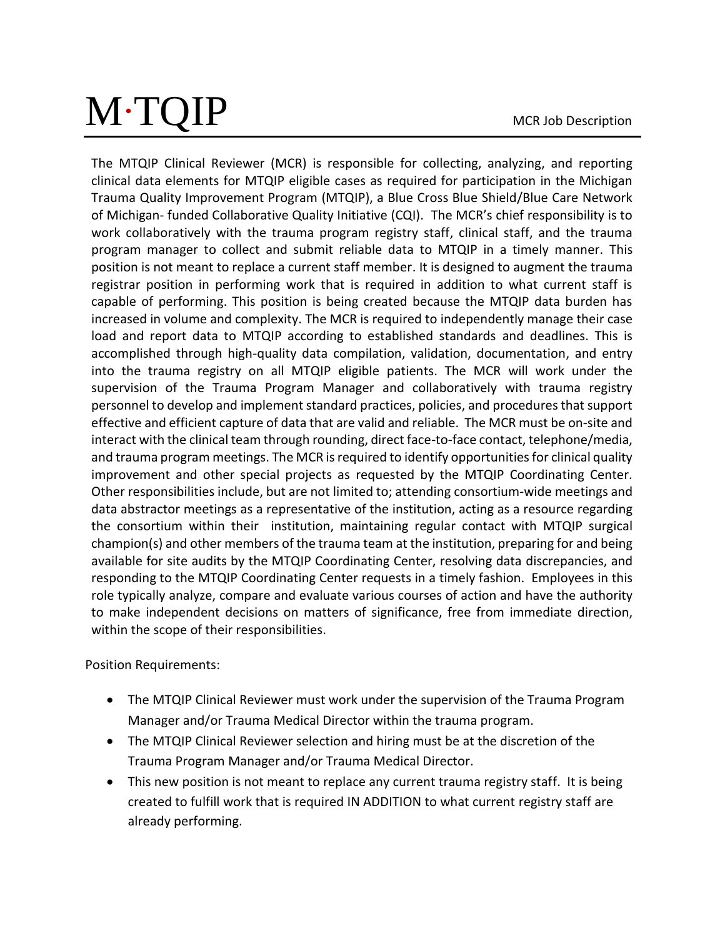## M∙TQIP

MCR Job Description

The MTQIP Clinical Reviewer (MCR) is responsible for collecting, analyzing, and reporting clinical data elements for MTQIP eligible cases as required for participation in the Michigan Trauma Quality Improvement Program (MTQIP), a Blue Cross Blue Shield/Blue Care Network of Michigan- funded Collaborative Quality Initiative (CQI). The MCR's chief responsibility is to work collaboratively with the trauma program registry staff, clinical staff, and the trauma program manager to collect and submit reliable data to MTQIP in a timely manner. This position is not meant to replace a current staff member. It is designed to augment the trauma registrar position in performing work that is required in addition to what current staff is capable of performing. This position is being created because the MTQIP data burden has increased in volume and complexity. The MCR is required to independently manage their case load and report data to MTQIP according to established standards and deadlines. This is accomplished through high-quality data compilation, validation, documentation, and entry into the trauma registry on all MTQIP eligible patients. The MCR will work under the supervision of the Trauma Program Manager and collaboratively with trauma registry personnel to develop and implement standard practices, policies, and procedures that support effective and efficient capture of data that are valid and reliable. The MCR must be on-site and interact with the clinical team through rounding, direct face-to-face contact, telephone/media, and trauma program meetings. The MCR is required to identify opportunities for clinical quality improvement and other special projects as requested by the MTQIP Coordinating Center. Other responsibilities include, but are not limited to; attending consortium-wide meetings and data abstractor meetings as a representative of the institution, acting as a resource regarding the consortium within their institution, maintaining regular contact with MTQIP surgical champion(s) and other members of the trauma team at the institution, preparing for and being available for site audits by the MTQIP Coordinating Center, resolving data discrepancies, and responding to the MTQIP Coordinating Center requests in a timely fashion. Employees in this role typically analyze, compare and evaluate various courses of action and have the authority to make independent decisions on matters of significance, free from immediate direction, within the scope of their responsibilities.

Position Requirements:

- The MTQIP Clinical Reviewer must work under the supervision of the Trauma Program Manager and/or Trauma Medical Director within the trauma program.
- The MTQIP Clinical Reviewer selection and hiring must be at the discretion of the Trauma Program Manager and/or Trauma Medical Director.
- This new position is not meant to replace any current trauma registry staff. It is being created to fulfill work that is required IN ADDITION to what current registry staff are already performing.